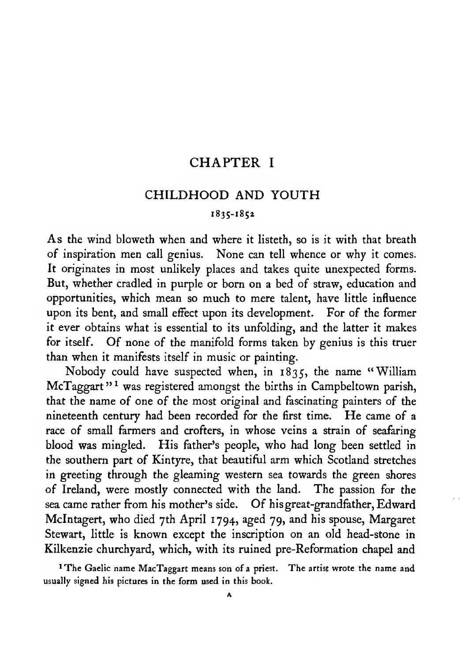#### CHAPTER <sup>I</sup>

#### CHILDHOOD AND YOUTH

#### 1835-1852

As the wind bloweth when and where it listeth, so is it with that breath of inspiration men call genius. None can tell whence or why it comes. It originates in most unlikely places and takes quite unexpected forms. But, whether cradled in purple or born on a bed of straw, education and opportunities, which mean so much to mere talent, have little influence upon its bent, and small effect upon its development. For of the former it ever obtains what is essential to its unfolding, and the latter it makes for itself. Of none of the manifold forms taken by genius is this truer than when it manifests itself in music or painting.

Nobody could have suspected when, in 1835, the name "William McTaggart<sup>"</sup> was registered amongst the births in Campbeltown parish, that the name of one of the most original and fascinating painters of the nineteenth century had been recorded for the first time. He came of <sup>a</sup> race of small farmers and crofters, in whose veins a strain of seafaring blood was mingled. His father's people, who had long been settled in the southern part of Kintyre, that beautiful arm which Scotland stretches in greeting through the gleaming western sea towards the green shores of Ireland, were mostly connected with the land. The passion for the sea came rather from his mother's side. Of his great-grandfather, Edward McIntagert, who died 7th April 1794, aged 79, and his spouse, Margaret Stewart, little is known except the inscription on an old head-stone in Kilkenzie churchyard, which, with its ruined pre-Reformation chapel and

<sup>1</sup>The Gaelic name MacTaggart means son of a priest. The artist wrote the name and usually signed his pictures in the form used in this book.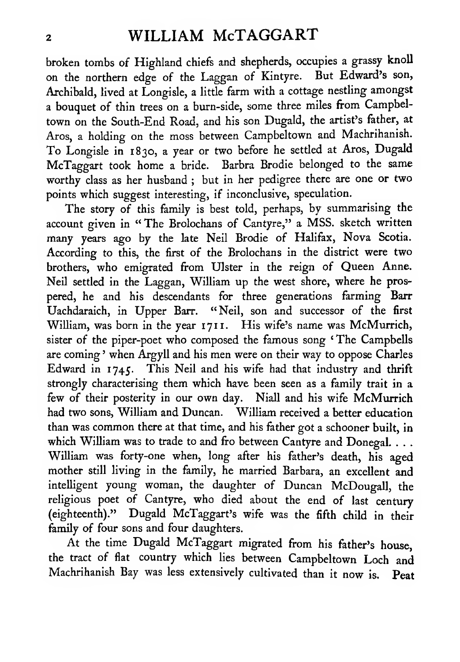### <sup>2</sup> WILLIAM McTAGGART

broken tombs of Highland chiefs and shepherds, occupies <sup>a</sup> grassy knoll on the northern edge of the Laggan of Kintyre. But Edward's son, Archibald, lived at Longisle, <sup>a</sup> little farm with <sup>a</sup> cottage nestling amongst <sup>a</sup> bouquet of thin trees on <sup>a</sup> burn-side, some three miles from Campbeltown on the South-End Road, and his son Dugald, the artist's father, at Aros, <sup>a</sup> holding on the moss between Campbeltown and Machrihanish. To Longisle in 1830, <sup>a</sup> year or two before he settled at Aros, Dugald McTaggart took home <sup>a</sup> bride. Barbra Brodie belonged to the same worthy class as her husband ; but in her pedigree there are one or two points which suggest interesting, if inconclusive, speculation.

The story of this family is best told, perhaps, by summarising the account given in "The Brolochans of Cantyre," a MSS. sketch written many years ago by the late Neil Brodie of Halifax, Nova Scotia. According to this, the first of the Brolochans in the district were two brothers, who emigrated from Ulster in the reign of Queen Anne. Neil settled in the Laggan, William up the west shore, where he prospered, he and his descendants for three generations farming Barr Uachdaraich, in Upper Barr. "Neil, son and successor of the first William, was born in the year 1711. His wife's name was McMurrich, sister of the piper-poet who composed the famous song ' The Campbells are coming ' when Argyll and his men were on their way to oppose Charles Edward in 1745. This Neil and his wife had that industry and thrift strongly characterising them which have been seen as a family trait in a few of their posterity in our own day. NiaU and his wife McMurrich had two sons, William and Duncan. William received a better education than was common there at that time, and his father got <sup>a</sup> schooner built, in which William was to trade to and fro between Cantyre and Donegal. . . . William was forty-one when, long after his father's death, his aged mother still living in the family, he married Barbara, an excellent and intelligent young woman, the daughter of Duncan McDougall, the religious poet of Cantyre, who died about the end of last century (eighteenth)." Dugald McTaggart's wife was the fifth child in their family of four sons and four daughters.

At the time Dugald McTaggart migrated from his father's house, the tract of flat country which lies between Campbeltown Loch and Machrihanish Bay was less extensively cultivated than it now is. Peat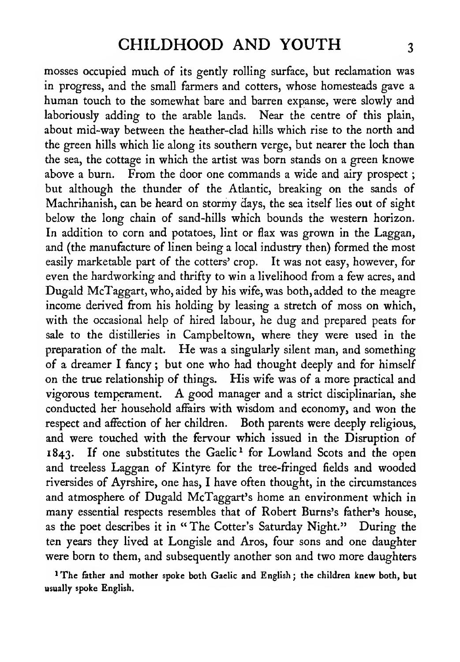mosses occupied much of its gently rolling surface, but reclamation was in progress, and the small farmers and cotters, whose homesteads gave a human touch to the somewhat bare and barren expanse, were slowly and laboriously adding to the arable lands. Near the centre of this plain, about mid-way between the heather-clad hills which rise to the north and the green hills which lie along its southern verge, but nearer the loch than the sea, the cottage in which the artist was born stands on a green knowe above a burn. From the door one commands a wide and airy prospect; but although the thunder of the Atlantic, breaking on the sands of Machrihanish, can be heard on stormy days, the sea itself lies out of sight below the long chain of sand-hills which bounds the western horizon. In addition to corn and potatoes, lint or flax was grown in the Laggan, and (the manufacture of linen being a local industry then) formed the most easily marketable part of the cotters' crop. It was not easy, however, for even the hardworking and thrifty to win a livelihood from a few acres, and Dugald McTaggart, who, aided by his wife, was both, added to the meagre income derived from his holding by leasing a stretch of moss on which, with the occasional help of hired labour, he dug and prepared peats for sale to the distilleries in Campbeltown, where they were used in the preparation of the malt. He was <sup>a</sup> singularly silent man, and something of a dreamer <sup>I</sup> fancy ; but one who had thought deeply and for himself on the true relationship of things. His wife was of a more practical and vigorous temperament. A good manager and <sup>a</sup> strict disciplinarian, she conducted her household affairs with wisdom and economy, and won the respect and affection of her children. Both parents were deeply religious, and were touched with the fervour which issued in the Disruption of 1843. If one substitutes the Gaelic<sup>1</sup> for Lowland Scots and the open and treeless Laggan of Kintyre for the tree-fringed fields and wooded riversides of Ayrshire, one has, <sup>I</sup> have often thought, in the circumstances and atmosphere of Dugald McTaggart's home an environment which in many essential respects resembles that of Robert Burns's father's house, as the poet describes it in "The Cotter's Saturday Night." During the ten years they lived at Longisle and Aros, four sons and one daughter were born to them, and subsequently another son and two more daughters

'The father and mother spoke both Gaelic and English; the children knew both, but usually spoke English.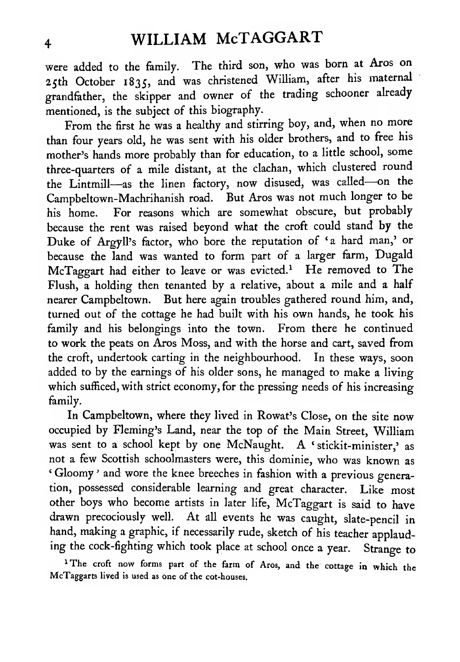were added to the family. The third son, who was born at Aros on 25th October 1835, and was christened William, after his maternal grandfather, the skipper and owner of the trading schooner already mentioned, is the subject of this biography.

From the first he was <sup>a</sup> healthy and stirring boy, and, when no more than four years old, he was sent with his older brothers, and to free his mother's hands more probably than for education, to <sup>a</sup> little school, some three-quarters of <sup>a</sup> mile distant, at the clachan, which clustered round the Lintmill—as the linen factory, now disused, was called—on the Campbeltown-Machrihanish road. But Aros was not much longer to be his home. For reasons which are somewhat obscure, but probably because the rent was raised beyond what the croft could stand by the Duke of Argyll's factor, who bore the reputation of 'a hard man,' or because the land was wanted to form part of <sup>a</sup> larger farm, Dugald McTaggart had either to leave or was evicted.<sup>1</sup> He removed to The Flush, a holding then tenanted by <sup>a</sup> relative, about a mile and a half nearer Campbeltown. But here again troubles gathered round him, and, turned out of the cottage he had built with his own hands, he took his family and his belongings into the town. From there he continued to work the peats on Aros Moss, and with the horse and cart, saved from the croft, undertook carting in the neighbourhood. In these ways, soon added to by the earnings of his older sons, he managed to make a living which sufficed, with strict economy, for the pressing needs of his increasing family.

In Campbeltown, where they lived in Rowat's Close, on the site now occupied by Fleming's Land, near the top of the Main Street, William was sent to a school kept by one McNaught. A 'stickit-minister,' as not <sup>a</sup> few Scottish schoolmasters were, this dominie, who was known as ' Gloomy ' and wore the knee breeches in fashion with <sup>a</sup> previous generation, possessed considerable learning and great character. Like most other boys who become artists in later life, McTaggart is said to have drawn precociously well. At all events he was caught, slate-pencil in hand, making <sup>a</sup> graphic, if necessarily rude, sketch of his teacher applauding the cock-fighting which took place at school once <sup>a</sup> year. Strange to

<sup>1</sup>The croft now forms part of the farm of Aros, and the cottage in which the McTaggarts lived is used as one of the cot-houses.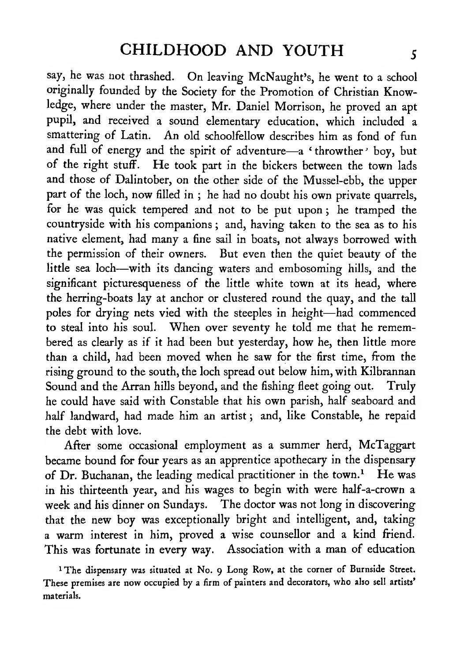say, he was not thrashed. On leaving McNaught's, he went to <sup>a</sup> school originally founded by the Society for the Promotion of Christian Knowledge, where under the master, Mr. Daniel Morrison, he proved an apt pupil, and received a sound elementary education, which included a smattering of Latin. An old schoolfellow describes him as fond of fun and full of energy and the spirit of adventure—<sup>a</sup> ' throwther ' boy, but of the right stuff. He took part in the bickers between the town lads and those of Dalintober, on the other side of the Mussel-ebb, the upper part of the loch, now filled in ; he had no doubt his own private quarrels, for he was quick tempered and not to be put upon ; he tramped the countryside with his companions ; and, having taken to the sea as to his native element, had many a fine sail in boats, not always borrowed with the permission of their owners. But even then the quiet beauty of the little sea loch—with its dancing waters and embosoming hills, and the significant picturesqueness of the little white town at its head, where the herring-boats lay at anchor or clustered round the quay, and the tall poles for drying nets vied with the steeples in height—had commenced to steal into his soul. When over seventy he told me that he remembered as clearly as if it had been but yesterday, how he, then little more than a child, had been moved when he saw for the first time, from the rising ground to the south, the loch spread out below him, with Kilbrannan Sound and the Arran hills beyond, and the fishing fleet going out. Truly he could have said with Constable that his own parish, half seaboard and half landward, had made him an artist ; and, like Constable, he repaid the debt with love.

After some occasional employment as a summer herd, McTaggart became bound for four years as an apprentice apothecary in the dispensary of Dr. Buchanan, the leading medical practitioner in the town.<sup>1</sup> He was in his thirteenth year, and his wages to begin with were half-a-crown a week and his dinner on Sundays. The doctor was not long in discovering that the new boy was exceptionally bright and intelligent, and, taking a warm interest in him, proved a wise counsellor and a kind friend. This was fortunate in every way. Association with <sup>a</sup> man of education

<sup>1</sup> The dispensary was situated at No. 9 Long Row, at the corner of Burnside Street. These premises are now occupied by <sup>a</sup> firm of painters and decorators, who also sell artists' materials.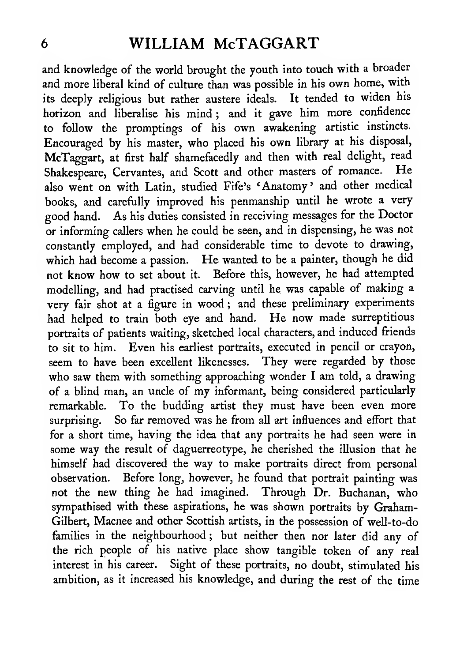# <sup>6</sup> WILLIAM McTAGGART

and knowledge of the world brought the youth into touch with <sup>a</sup> broader and more liberal kind of culture than was possible in his own home, with its deeply religious but rather austere ideals. It tended to widen his horizon and liberalise his mind ; and it gave him more confidence to follow the promptings of his own awakening artistic instincts. Encouraged by his master, who placed his own library at his disposal, McTaggart, at first half shamefacedly and then with real delight, read Shakespeare, Cervantes, and Scott and other masters of romance. He also went on with Latin, studied Fife's 'Anatomy' and other medical books, and carefully improved his penmanship until he wrote a very good hand. As his duties consisted in receiving messages for the Doctor or informing callers when he could be seen, and in dispensing, he was not constandy employed, and had considerable time to devote to drawing, which had become <sup>a</sup> passion. He wanted to be <sup>a</sup> painter, though he did not know how to set about it. Before this, however, he had attempted modelling, and had practised carving until he was capable of making <sup>a</sup> very fair shot at a figure in wood ; and these preliminary experiments had helped to train both eye and hand. He now made surreptitious portraits of patients waiting, sketched local characters, and induced friends to sit to him. Even his earliest portraits, executed in pencil or crayon, seem to have been excellent likenesses. They were regarded by those who saw them with something approaching wonder <sup>I</sup> am told, <sup>a</sup> drawing of <sup>a</sup> blind man, an uncle of my informant, being considered particularly remarkable. To the budding artist they must have been even more surprising. So far removed was he from all art influences and effort that for a short time, having the idea that any portraits he had seen were in some way the result of daguerreotype, he cherished the illusion that he himself had discovered the way to make portraits direct from personal observation. Before long, however, he found that portrait painting was not the new thing he had imagined. Through Dr. Buchanan, who sympathised with these aspirations, he was shown portraits by Graham-Gilbert, Macnee and other Scottish artists, in the possession of well-to-do families in the neighbourhood ; but neither then nor later did any of the rich people of his native place show tangible token of any real interest in his career. Sight of these portraits, no doubt, stimulated his ambition, as it increased his knowledge, and during the rest of the time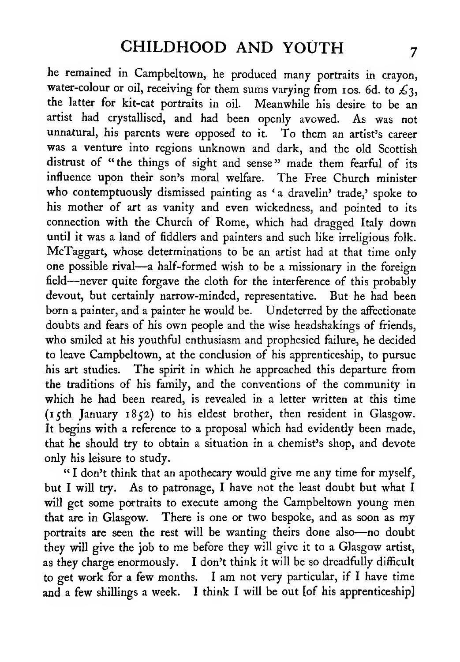he remained in Campbeltown, he produced many portraits in crayon, water-colour or oil, receiving for them sums varying from 10s. 6d. to  $\mathcal{L}_3$ , the latter for kit-cat portraits in oil. Meanwhile his desire to be an artist had crystallised, and had been openly avowed. As was not unnatural, his parents were opposed to it. To them an artist's career was <sup>a</sup> venture into regions unknown and dark, and the old Scottish distrust of "the things of sight and sense" made them fearful of its influence upon their son's moral welfare. The Free Church minister who contemptuously dismissed painting as 'a dravelin' trade,' spoke to his mother of art as vanity and even wickedness, and pointed to its connection with the Church of Rome, which had dragged Italy down until it was a land of fiddlers and painters and such like irreligious folk. McTaggart, whose determinations to be an artist had at that time only one possible rival—<sup>a</sup> half-formed wish to be <sup>a</sup> missionary in the foreign field—never quite forgave the cloth for the interference of this probably devout, but certainly narrow-minded, representative. But he had been born a painter, and a painter he would be. Undeterred by the affectionate doubts and fears of his own people and the wise headshakings of friends, who smiled at his youthful enthusiasm and prophesied failure, he decided to leave Campbeltown, at the conclusion of his apprenticeship, to pursue his art studies. The spirit in which he approached this departure from the traditions of his family, and the conventions of the community in which he had been reared, is revealed in a letter written at this time (15th January 1852) to his eldest brother, then resident in Glasgow. It begins with a reference to a proposal which had evidendy been made, that he should try to obtain a situation in a chemist's shop, and devote only his leisure to study.

" <sup>I</sup> don't think that an apothecary would give me any time for myself, but <sup>I</sup> will try. As to patronage, <sup>I</sup> have not the least doubt but what <sup>I</sup> will get some portraits to execute among the Campbeltown young men that are in Glasgow. There is one or two bespoke, and as soon as my portraits are seen the rest will be wanting theirs done also—no doubt they will give the job to me before they will give it to <sup>a</sup> Glasgow artist, as they charge enormously. I don't think it will be so dreadfully difficult to get work for <sup>a</sup> few months. <sup>I</sup> am not very particular, if <sup>I</sup> have time and a few shillings a week. <sup>I</sup> think <sup>I</sup> will be out [of his apprenticeship]